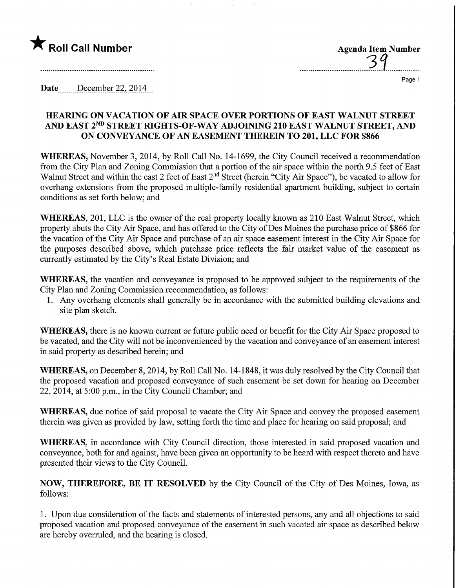## $\bigstar$  Roll Call Number

| <b>Agenda Item Number</b> |
|---------------------------|
| $\sigma$ a                |
|                           |

 $\overline{a}$ 

Page 1

Date December 22, 2014

## HEARING ON VACATION OF AIR SPACE OVER PORTIONS OF EAST WALNUT STREET AND EAST 2ND STREET RIGHTS-OF-WAY ADJOINING 210 EAST WALNUT STREET, AND ON CONVEYANCE OF AN EASEMENT THEREIN TO 201, LLC FOR \$866

WHEREAS, November 3, 2014, by Roll Call No. 14-1699, the City Council received a recommendation from the City Plan and Zoning Commission that a portion of the air space within the north 9.5 feet of East Walnut Street and within the east 2 feet of East 2<sup>nd</sup> Street (herein "City Air Space"), be vacated to allow for overhang extensions from the proposed multiple-family residential apartment building, subject to certain conditions as set forth below; and

WHEREAS, 201, LLC is the owner of the real property locally known as 210 East Walnut Street, which property abuts the City Air Space, and has offered to the City of Des Moines the purchase price of \$866 for the vacation of the City Air Space and purchase of an air space easement interest in the City Air Space for the purposes described above, which purchase price reflects the fair market value of the easement as currently estimated by the City's Real Estate Division; and

WHEREAS, the vacation and conveyance is proposed to be approved subject to the requirements of the City Plan and Zoning Commission recommendation, as follows:

1. Any overhang elements shall generally be in accordance with the submitted building elevations and site plan sketch.

WHEREAS, there is no known current or future public need or benefit for the City Air Space proposed to be vacated, and the City will not be inconvenienced by the vacation and conveyance of an easement interest in said property as described herein; and

WHEREAS, on December 8,2014, by Roll Call No. 14-1848, it was duly resolved by the City Council that the proposed vacation and proposed conveyance of such easement be set down for hearing on December 22, 2014, at 5:00 p.m., in the City Council Chamber; and

WHEREAS, due notice of said proposal to vacate the City Air Space and convey the proposed easement therein was given as provided by law, setting forth the time and place for hearing on said proposal; and

WHEREAS, in accordance with City Council direction, those interested in said proposed vacation and conveyance, both for and against, have been given an opportunity to be heard with respect thereto and have presented their views to the City Council.

NOW, THEREFORE, BE IT RESOLVED by the City Council of the City of Des Moines, Iowa, as follows:

1. Upon due consideration of the facts and statements of interested persons, any and all objections to said proposed vacation and proposed conveyance of the easement in such vacated air space as described below are hereby overruled, and the hearing is closed.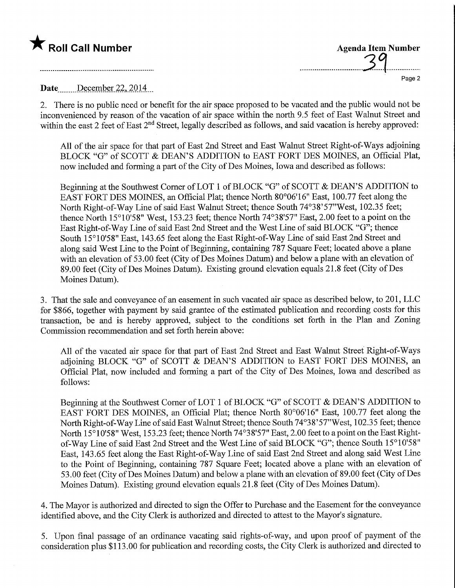## $\bigstar$  Roll Call Number

| <b>Agenda Item Number</b><br>$\sigma$ a |        |
|-----------------------------------------|--------|
|                                         | Page 2 |

Date December 22, 2014

2. There is no public need or benefit for the air space proposed to be vacated and the public would not be inconvenienced by reason of the vacation of air space within the north 9.5 feet of East Walnut Street and within the east 2 feet of East 2<sup>nd</sup> Street, legally described as follows, and said vacation is hereby approved:

All of the air space for that part of East 2nd Street and East Walnut Street Right-of-Ways adjoining BLOCK "G" of SCOTT & DEAN'S ADDITION to EAST FORT DES MOINES, an Official Plat, now included and forming a part of the City of Des Moines, Iowa and described as follows:

Beginning at the Southwest Comer of LOT 1 of BLOCK "G" of SCOTT & DEAN'S ADDITION to EAST FORT DES MOINES, an Official Plat; thence North 80°06'16" East, 100.77 feet along the North Right-of-Way Line of said East Walnut Street; thence South 74°38'57"West, 102.35 feet; thence North 15°10'58" West, 153.23 feet; thence North 74°38'57" East, 2.00 feet to a point on the East Right-of-Way Line of said East 2nd Street and the West Line of said BLOCK "G"; thence South 15°10'58" East, 143.65 feet along the East Right-of-Way Line of said East 2nd Street and along said West Line to the Point of Beginning, containing 787 Square Feet; located above a plane with an elevation of 53.00 feet (City of Des Moines Datum) and below a plane with an elevation of 89.00 feet (City of Des Moines Datum). Existing ground elevation equals 21.8 feet (City of Des Moines Datum).

3. That the sale and conveyance of an easement in such vacated air space as described below, to 201, LLC for \$866, together with payment by said grantee of the estimated publication and recording costs for this transaction, be and is hereby approved, subject to the conditions set forth in the Plan and Zoning Commission recommendation and set forth herein above:

All of the vacated air space for that part of East 2nd Street and East Walnut Street Right-of-Ways adjoining BLOCK "G" of SCOTT & DEAN'S ADDITION to EAST FORT DES MOINES, an Official Plat, now included and forming a part of the City of Des Moines, Iowa and described as follows:

Beginning at the Southwest Comer of LOT 1 of BLOCK "G" of SCOTT & DEAN'S ADDITION to EAST FORT DES MOINES, an Official Plat; thence North 80°06'16" East, 100.77 feet along the North Right-of-Way Line of said East Walnut Street; thence South 74°38'57"West, 102.35 feet; thence North 15°10'58" West, 153.23 feet; thence North 74°38'57" East, 2.00 feet to a point on the East Rightof-Way Line of said East 2nd Street and the West Line of said BLOCK "G"; thence South 15°10'58" East, 143.65 feet along the East Right-of-Way Line of said East 2nd Street and along said West Line to the Point of Beginning, containing 787 Square Feet; located above a plane with an elevation of 53.00 feet (City of Des Moines Datum) and below a plane with an elevation of 89.00 feet (City of Des Moines Datum). Existing ground elevation equals 21.8 feet (City of Des Moines Datum).

4. The Mayor is authorized and directed to sign the Offer to Purchase and the Easement for the conveyance identified above, and the City Clerk is authorized and directed to attest to the Mayor's signature.

5. Upon final passage of an ordinance vacating said rights-of-way, and upon proof of payment of the consideration plus \$113.00 for publication and recording costs, the City Clerk is authorized and directed to